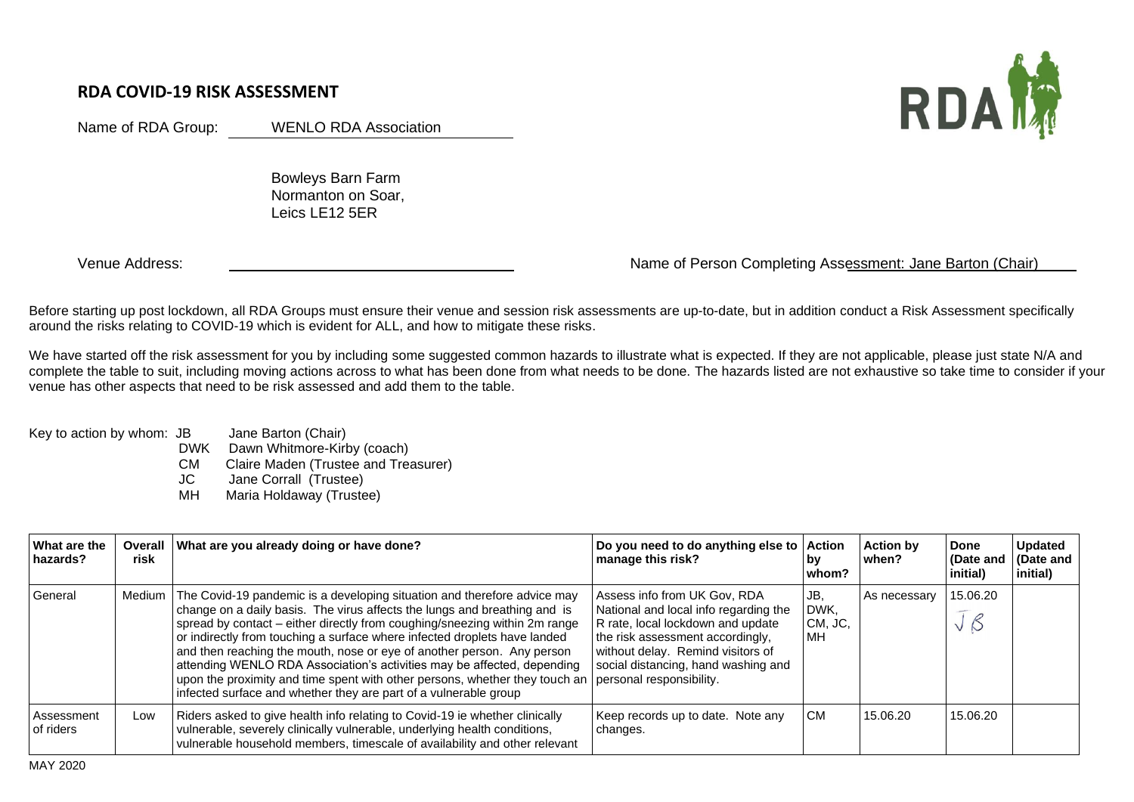## **RDA COVID-19 RISK ASSESSMENT**

Name of RDA Group: WENLO RDA Association

 Bowleys Barn Farm Normanton on Soar, Leics LE12 5ER

## Venue Address: Name of Person Completing Assessment: Jane Barton (Chair)

Before starting up post lockdown, all RDA Groups must ensure their venue and session risk assessments are up-to-date, but in addition conduct a Risk Assessment specifically around the risks relating to COVID-19 which is evident for ALL, and how to mitigate these risks.

We have started off the risk assessment for you by including some suggested common hazards to illustrate what is expected. If they are not applicable, please just state N/A and complete the table to suit, including moving actions across to what has been done from what needs to be done. The hazards listed are not exhaustive so take time to consider if your venue has other aspects that need to be risk assessed and add them to the table.

Key to action by whom: JB Jane Barton (Chair)

DWK Dawn Whitmore-Kirby (coach)

CM Claire Maden (Trustee and Treasurer)

JC Jane Corrall (Trustee)

MH Maria Holdaway (Trustee)

| <b>What are the</b><br>hazards? | Overall<br>risk | What are you already doing or have done?                                                                                                                                                                                                                                                                                                                                                                                                                                                                                                                                                                                                          | Do you need to do anything else to Action<br>manage this risk?                                                                                                                                                             | bv<br>whom?                  | <b>Action by</b><br>when? | Done<br>(Date and<br>initial) | <b>Updated</b><br>(Date and<br>initial) |
|---------------------------------|-----------------|---------------------------------------------------------------------------------------------------------------------------------------------------------------------------------------------------------------------------------------------------------------------------------------------------------------------------------------------------------------------------------------------------------------------------------------------------------------------------------------------------------------------------------------------------------------------------------------------------------------------------------------------------|----------------------------------------------------------------------------------------------------------------------------------------------------------------------------------------------------------------------------|------------------------------|---------------------------|-------------------------------|-----------------------------------------|
| General                         | Medium          | The Covid-19 pandemic is a developing situation and therefore advice may<br>change on a daily basis. The virus affects the lungs and breathing and is<br>spread by contact – either directly from coughing/sneezing within 2m range<br>or indirectly from touching a surface where infected droplets have landed<br>and then reaching the mouth, nose or eye of another person. Any person<br>attending WENLO RDA Association's activities may be affected, depending<br>upon the proximity and time spent with other persons, whether they touch an personal responsibility.<br>infected surface and whether they are part of a vulnerable group | Assess info from UK Gov, RDA<br>National and local info regarding the<br>R rate, local lockdown and update<br>the risk assessment accordingly,<br>without delay. Remind visitors of<br>social distancing, hand washing and | JB.<br>DWK,<br>CM, JC,<br>MН | As necessary              | 15.06.20                      |                                         |
| Assessment<br>of riders         | Low             | Riders asked to give health info relating to Covid-19 ie whether clinically<br>vulnerable, severely clinically vulnerable, underlying health conditions,<br>vulnerable household members, timescale of availability and other relevant                                                                                                                                                                                                                                                                                                                                                                                                            | Keep records up to date. Note any<br>changes.                                                                                                                                                                              | <b>CM</b>                    | 15.06.20                  | 15.06.20                      |                                         |

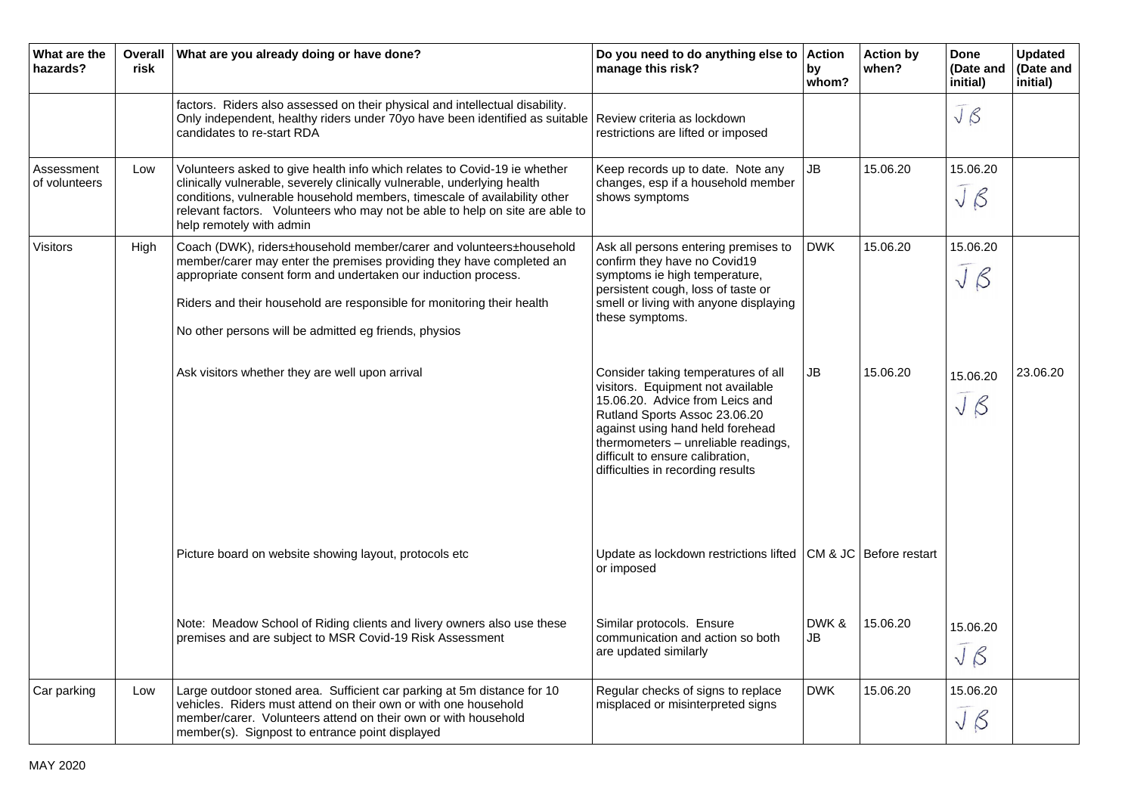| What are the<br>hazards?    | <b>Overall</b><br>risk | What are you already doing or have done?                                                                                                                                                                                                                                                                                                         | Do you need to do anything else to<br>manage this risk?                                                                                                                                                                                                                                          | <b>Action</b><br>bv<br>whom? | <b>Action by</b><br>when? | <b>Done</b><br>(Date and<br>initial) | <b>Updated</b><br>(Date and<br>initial) |
|-----------------------------|------------------------|--------------------------------------------------------------------------------------------------------------------------------------------------------------------------------------------------------------------------------------------------------------------------------------------------------------------------------------------------|--------------------------------------------------------------------------------------------------------------------------------------------------------------------------------------------------------------------------------------------------------------------------------------------------|------------------------------|---------------------------|--------------------------------------|-----------------------------------------|
|                             |                        | factors. Riders also assessed on their physical and intellectual disability.<br>Only independent, healthy riders under 70yo have been identified as suitable<br>candidates to re-start RDA                                                                                                                                                       | Review criteria as lockdown<br>restrictions are lifted or imposed                                                                                                                                                                                                                                |                              |                           | $J_{\beta}$                          |                                         |
| Assessment<br>of volunteers | Low                    | Volunteers asked to give health info which relates to Covid-19 ie whether<br>clinically vulnerable, severely clinically vulnerable, underlying health<br>conditions, vulnerable household members, timescale of availability other<br>relevant factors. Volunteers who may not be able to help on site are able to<br>help remotely with admin   | Keep records up to date. Note any<br>changes, esp if a household member<br>shows symptoms                                                                                                                                                                                                        | JB                           | 15.06.20                  | 15.06.20<br>$J_{\beta}$              |                                         |
| Visitors                    | High                   | Coach (DWK), riders±household member/carer and volunteers±household<br>member/carer may enter the premises providing they have completed an<br>appropriate consent form and undertaken our induction process.<br>Riders and their household are responsible for monitoring their health<br>No other persons will be admitted eg friends, physios | Ask all persons entering premises to<br>confirm they have no Covid19<br>symptoms ie high temperature,<br>persistent cough, loss of taste or<br>smell or living with anyone displaying<br>these symptoms.                                                                                         | <b>DWK</b>                   | 15.06.20                  | 15.06.20<br>JB                       |                                         |
|                             |                        | Ask visitors whether they are well upon arrival                                                                                                                                                                                                                                                                                                  | Consider taking temperatures of all<br>visitors. Equipment not available<br>15.06.20. Advice from Leics and<br>Rutland Sports Assoc 23.06.20<br>against using hand held forehead<br>thermometers - unreliable readings,<br>difficult to ensure calibration,<br>difficulties in recording results | JB                           | 15.06.20                  | 15.06.20<br>JB                       | 23.06.20                                |
|                             |                        | Picture board on website showing layout, protocols etc                                                                                                                                                                                                                                                                                           | Update as lockdown restrictions lifted $\overline{\phantom{a}}$ CM & JC Before restart<br>or imposed                                                                                                                                                                                             |                              |                           |                                      |                                         |
|                             |                        | Note: Meadow School of Riding clients and livery owners also use these<br>premises and are subject to MSR Covid-19 Risk Assessment                                                                                                                                                                                                               | Similar protocols. Ensure<br>communication and action so both<br>are updated similarly                                                                                                                                                                                                           | DWK &<br>JB                  | 15.06.20                  | 15.06.20<br>JB                       |                                         |
| Car parking                 | Low                    | Large outdoor stoned area. Sufficient car parking at 5m distance for 10<br>vehicles. Riders must attend on their own or with one household<br>member/carer. Volunteers attend on their own or with household<br>member(s). Signpost to entrance point displayed                                                                                  | Regular checks of signs to replace<br>misplaced or misinterpreted signs                                                                                                                                                                                                                          | <b>DWK</b>                   | 15.06.20                  | 15.06.20<br>$J\beta$                 |                                         |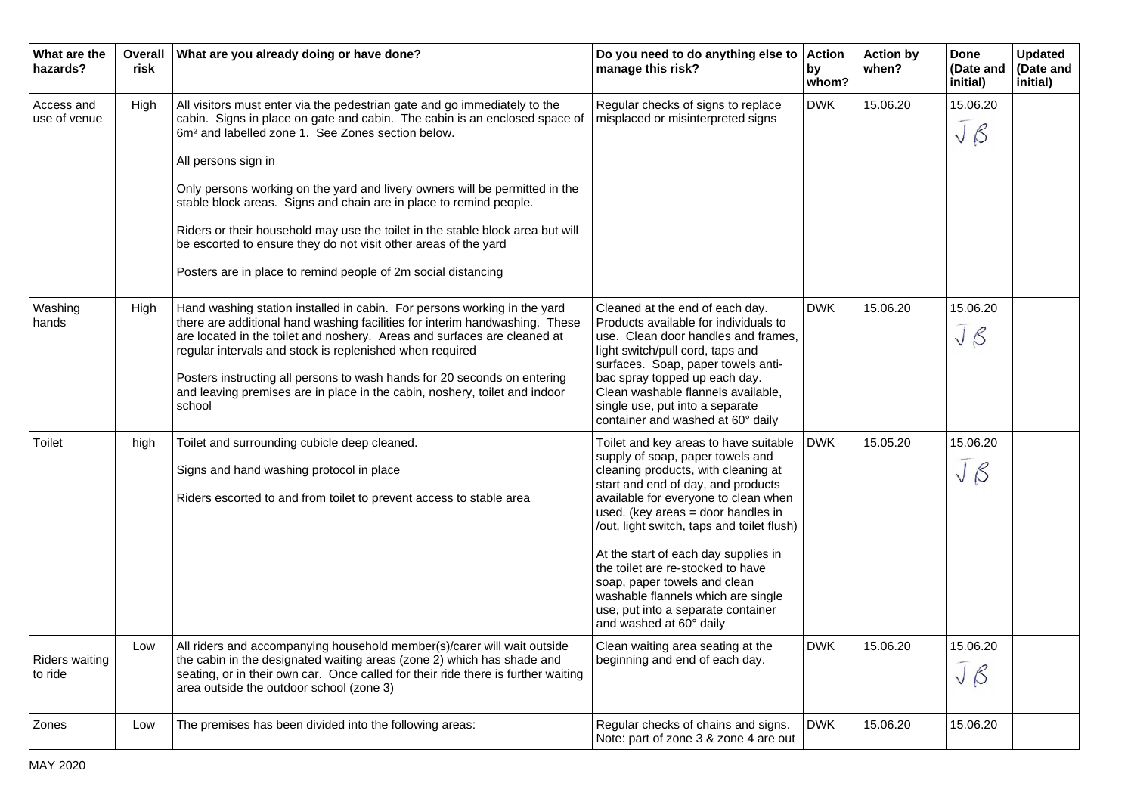| What are the<br>hazards?         | Overall<br>risk | What are you already doing or have done?                                                                                                                                                                                                                                                                                                                                                                                                                                                                                                                                                                                   | Do you need to do anything else to<br>manage this risk?                                                                                                                                                                                                                                                                                                                                                                                                                                                  | <b>Action</b><br>by<br>whom? | <b>Action by</b><br>when? | Done<br>(Date and<br>initial) | <b>Updated</b><br>(Date and<br>initial) |
|----------------------------------|-----------------|----------------------------------------------------------------------------------------------------------------------------------------------------------------------------------------------------------------------------------------------------------------------------------------------------------------------------------------------------------------------------------------------------------------------------------------------------------------------------------------------------------------------------------------------------------------------------------------------------------------------------|----------------------------------------------------------------------------------------------------------------------------------------------------------------------------------------------------------------------------------------------------------------------------------------------------------------------------------------------------------------------------------------------------------------------------------------------------------------------------------------------------------|------------------------------|---------------------------|-------------------------------|-----------------------------------------|
| Access and<br>use of venue       | High            | All visitors must enter via the pedestrian gate and go immediately to the<br>cabin. Signs in place on gate and cabin. The cabin is an enclosed space of<br>6m <sup>2</sup> and labelled zone 1. See Zones section below.<br>All persons sign in<br>Only persons working on the yard and livery owners will be permitted in the<br>stable block areas. Signs and chain are in place to remind people.<br>Riders or their household may use the toilet in the stable block area but will<br>be escorted to ensure they do not visit other areas of the yard<br>Posters are in place to remind people of 2m social distancing | Regular checks of signs to replace<br>misplaced or misinterpreted signs                                                                                                                                                                                                                                                                                                                                                                                                                                  | <b>DWK</b>                   | 15.06.20                  | 15.06.20<br>$J_{\beta}$       |                                         |
| Washing<br>hands                 | High            | Hand washing station installed in cabin. For persons working in the yard<br>there are additional hand washing facilities for interim handwashing. These<br>are located in the toilet and noshery. Areas and surfaces are cleaned at<br>regular intervals and stock is replenished when required<br>Posters instructing all persons to wash hands for 20 seconds on entering<br>and leaving premises are in place in the cabin, noshery, toilet and indoor<br>school                                                                                                                                                        | Cleaned at the end of each day.<br>Products available for individuals to<br>use. Clean door handles and frames,<br>light switch/pull cord, taps and<br>surfaces. Soap, paper towels anti-<br>bac spray topped up each day.<br>Clean washable flannels available,<br>single use, put into a separate<br>container and washed at 60° daily                                                                                                                                                                 | <b>DWK</b>                   | 15.06.20                  | 15.06.20<br>$J_{\beta}$       |                                         |
| Toilet                           | high            | Toilet and surrounding cubicle deep cleaned.<br>Signs and hand washing protocol in place<br>Riders escorted to and from toilet to prevent access to stable area                                                                                                                                                                                                                                                                                                                                                                                                                                                            | Toilet and key areas to have suitable<br>supply of soap, paper towels and<br>cleaning products, with cleaning at<br>start and end of day, and products<br>available for everyone to clean when<br>used. (key areas $=$ door handles in<br>/out, light switch, taps and toilet flush)<br>At the start of each day supplies in<br>the toilet are re-stocked to have<br>soap, paper towels and clean<br>washable flannels which are single<br>use, put into a separate container<br>and washed at 60° daily | <b>DWK</b>                   | 15.05.20                  | 15.06.20<br>$J_{\beta}$       |                                         |
| <b>Riders waiting</b><br>to ride | Low             | All riders and accompanying household member(s)/carer will wait outside<br>the cabin in the designated waiting areas (zone 2) which has shade and<br>seating, or in their own car. Once called for their ride there is further waiting<br>area outside the outdoor school (zone 3)                                                                                                                                                                                                                                                                                                                                         | Clean waiting area seating at the<br>beginning and end of each day.                                                                                                                                                                                                                                                                                                                                                                                                                                      | <b>DWK</b>                   | 15.06.20                  | 15.06.20<br>$J_{\beta}$       |                                         |
| Zones                            | Low             | The premises has been divided into the following areas:                                                                                                                                                                                                                                                                                                                                                                                                                                                                                                                                                                    | Regular checks of chains and signs.<br>Note: part of zone 3 & zone 4 are out                                                                                                                                                                                                                                                                                                                                                                                                                             | <b>DWK</b>                   | 15.06.20                  | 15.06.20                      |                                         |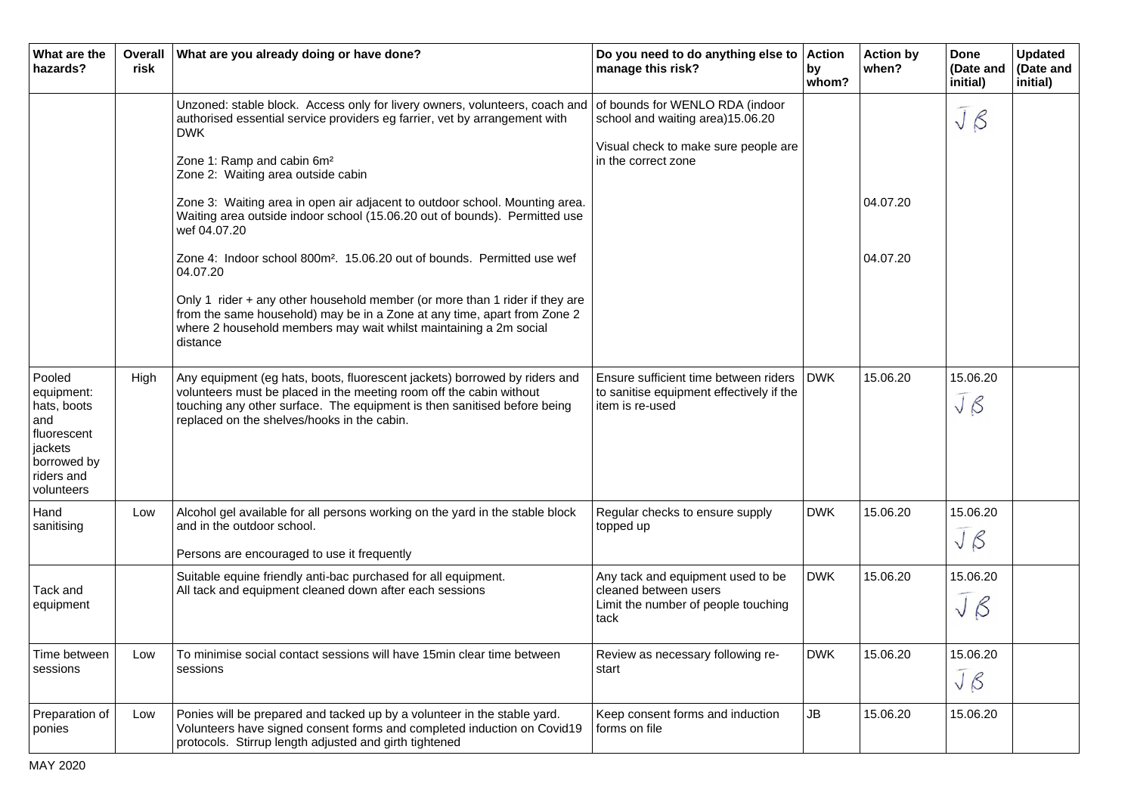| What are the<br>hazards?                                                                                        | <b>Overall</b><br>risk | What are you already doing or have done?                                                                                                                                                                                                                                                                                                                                                                                                                                                                                                                                                                                                                                                                                                                                            | Do you need to do anything else to<br>manage this risk?                                                                            | <b>Action</b><br>by<br>whom? | <b>Action by</b><br>when? | Done<br>(Date and<br>initial) | <b>Updated</b><br>(Date and<br>initial) |
|-----------------------------------------------------------------------------------------------------------------|------------------------|-------------------------------------------------------------------------------------------------------------------------------------------------------------------------------------------------------------------------------------------------------------------------------------------------------------------------------------------------------------------------------------------------------------------------------------------------------------------------------------------------------------------------------------------------------------------------------------------------------------------------------------------------------------------------------------------------------------------------------------------------------------------------------------|------------------------------------------------------------------------------------------------------------------------------------|------------------------------|---------------------------|-------------------------------|-----------------------------------------|
|                                                                                                                 |                        | Unzoned: stable block. Access only for livery owners, volunteers, coach and<br>authorised essential service providers eg farrier, vet by arrangement with<br><b>DWK</b><br>Zone 1: Ramp and cabin 6m <sup>2</sup><br>Zone 2: Waiting area outside cabin<br>Zone 3: Waiting area in open air adjacent to outdoor school. Mounting area.<br>Waiting area outside indoor school (15.06.20 out of bounds). Permitted use<br>wef 04.07.20<br>Zone 4: Indoor school 800m <sup>2</sup> . 15.06.20 out of bounds. Permitted use wef<br>04.07.20<br>Only 1 rider + any other household member (or more than 1 rider if they are<br>from the same household) may be in a Zone at any time, apart from Zone 2<br>where 2 household members may wait whilst maintaining a 2m social<br>distance | of bounds for WENLO RDA (indoor<br>school and waiting area)15.06.20<br>Visual check to make sure people are<br>in the correct zone |                              | 04.07.20<br>04.07.20      | $J_{\beta}$                   |                                         |
| Pooled<br>equipment:<br>hats, boots<br>and<br>fluorescent<br>jackets<br>borrowed by<br>riders and<br>volunteers | High                   | Any equipment (eg hats, boots, fluorescent jackets) borrowed by riders and<br>volunteers must be placed in the meeting room off the cabin without<br>touching any other surface. The equipment is then sanitised before being<br>replaced on the shelves/hooks in the cabin.                                                                                                                                                                                                                                                                                                                                                                                                                                                                                                        | Ensure sufficient time between riders<br>to sanitise equipment effectively if the<br>item is re-used                               | <b>DWK</b>                   | 15.06.20                  | 15.06.20<br>JB                |                                         |
| Hand<br>sanitising                                                                                              | Low                    | Alcohol gel available for all persons working on the yard in the stable block<br>and in the outdoor school.<br>Persons are encouraged to use it frequently                                                                                                                                                                                                                                                                                                                                                                                                                                                                                                                                                                                                                          | Regular checks to ensure supply<br>topped up                                                                                       | <b>DWK</b>                   | 15.06.20                  | 15.06.20<br>$J_{\beta}$       |                                         |
| Tack and<br>equipment                                                                                           |                        | Suitable equine friendly anti-bac purchased for all equipment.<br>All tack and equipment cleaned down after each sessions                                                                                                                                                                                                                                                                                                                                                                                                                                                                                                                                                                                                                                                           | Any tack and equipment used to be<br>cleaned between users<br>Limit the number of people touching<br>tack                          | <b>DWK</b>                   | 15.06.20                  | 15.06.20<br>$J_{\beta}$       |                                         |
| Time between<br>sessions                                                                                        | Low                    | To minimise social contact sessions will have 15 min clear time between<br>sessions                                                                                                                                                                                                                                                                                                                                                                                                                                                                                                                                                                                                                                                                                                 | Review as necessary following re-<br>start                                                                                         | <b>DWK</b>                   | 15.06.20                  | 15.06.20<br>$J\beta$          |                                         |
| Preparation of<br>ponies                                                                                        | Low                    | Ponies will be prepared and tacked up by a volunteer in the stable yard.<br>Volunteers have signed consent forms and completed induction on Covid19<br>protocols. Stirrup length adjusted and girth tightened                                                                                                                                                                                                                                                                                                                                                                                                                                                                                                                                                                       | Keep consent forms and induction<br>forms on file                                                                                  | <b>JB</b>                    | 15.06.20                  | 15.06.20                      |                                         |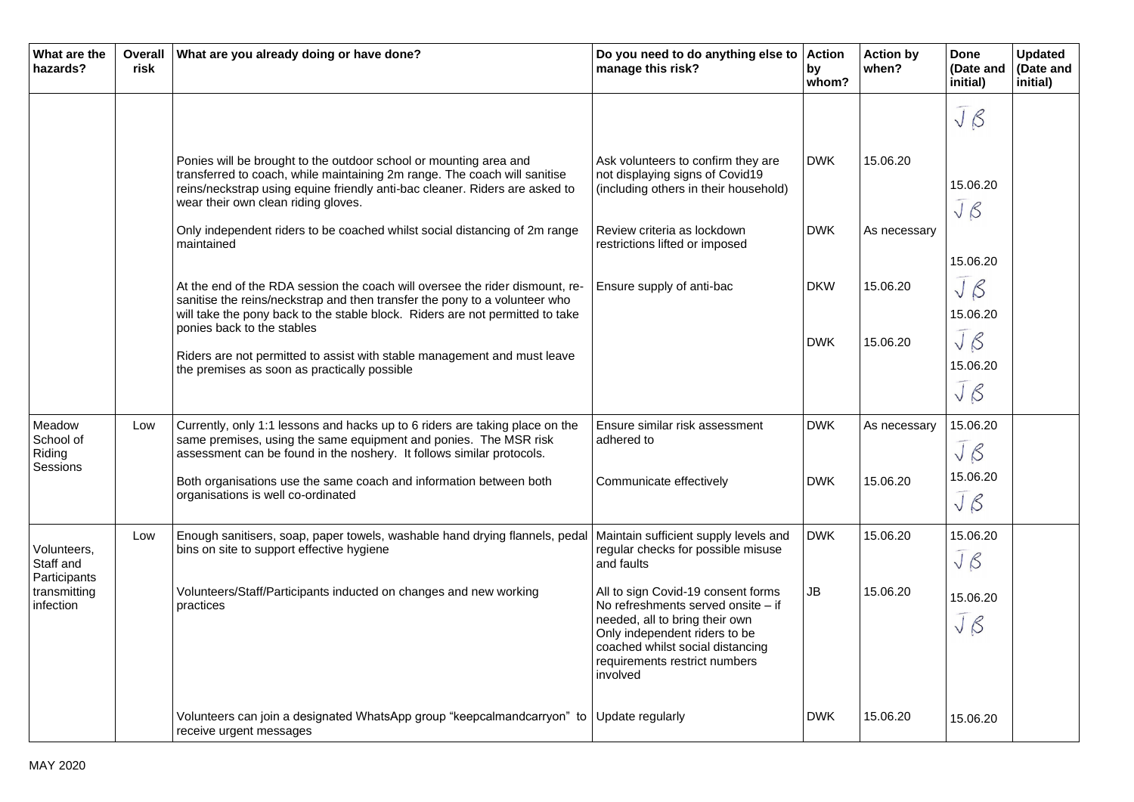| What are the<br>hazards?                                              | <b>Overall</b><br>risk | What are you already doing or have done?                                                                                                                                                                                                                             | Do you need to do anything else to<br>manage this risk?                                                                                                                                                                      | <b>Action</b><br>by<br>whom? | <b>Action by</b><br>when? | <b>Done</b><br>(Date and<br>initial) | <b>Updated</b><br>(Date and<br>initial) |
|-----------------------------------------------------------------------|------------------------|----------------------------------------------------------------------------------------------------------------------------------------------------------------------------------------------------------------------------------------------------------------------|------------------------------------------------------------------------------------------------------------------------------------------------------------------------------------------------------------------------------|------------------------------|---------------------------|--------------------------------------|-----------------------------------------|
|                                                                       |                        |                                                                                                                                                                                                                                                                      |                                                                                                                                                                                                                              |                              |                           | $J\beta$                             |                                         |
|                                                                       |                        | Ponies will be brought to the outdoor school or mounting area and<br>transferred to coach, while maintaining 2m range. The coach will sanitise<br>reins/neckstrap using equine friendly anti-bac cleaner. Riders are asked to<br>wear their own clean riding gloves. | Ask volunteers to confirm they are<br>not displaying signs of Covid19<br>(including others in their household)                                                                                                               | <b>DWK</b>                   | 15.06.20                  | 15.06.20<br>$J_{\beta}$              |                                         |
|                                                                       |                        | Only independent riders to be coached whilst social distancing of 2m range<br>maintained                                                                                                                                                                             | Review criteria as lockdown<br>restrictions lifted or imposed                                                                                                                                                                | <b>DWK</b>                   | As necessary              |                                      |                                         |
|                                                                       |                        | At the end of the RDA session the coach will oversee the rider dismount, re-<br>sanitise the reins/neckstrap and then transfer the pony to a volunteer who<br>will take the pony back to the stable block. Riders are not permitted to take                          | Ensure supply of anti-bac                                                                                                                                                                                                    | <b>DKW</b>                   | 15.06.20                  | 15.06.20<br>$J_{\beta}$<br>15.06.20  |                                         |
|                                                                       |                        | ponies back to the stables<br>Riders are not permitted to assist with stable management and must leave<br>the premises as soon as practically possible                                                                                                               |                                                                                                                                                                                                                              | <b>DWK</b>                   | 15.06.20                  | JB<br>15.06.20<br>$J_{\beta}$        |                                         |
| Meadow<br>School of<br>Riding                                         | Low                    | Currently, only 1:1 lessons and hacks up to 6 riders are taking place on the<br>same premises, using the same equipment and ponies. The MSR risk<br>assessment can be found in the noshery. It follows similar protocols.                                            | Ensure similar risk assessment<br>adhered to                                                                                                                                                                                 | <b>DWK</b>                   | As necessary              | 15.06.20<br>JB                       |                                         |
| Sessions                                                              |                        | Both organisations use the same coach and information between both<br>organisations is well co-ordinated                                                                                                                                                             | Communicate effectively                                                                                                                                                                                                      | <b>DWK</b>                   | 15.06.20                  | 15.06.20<br>$J\beta$                 |                                         |
| Volunteers,<br>Staff and<br>Participants<br>transmitting<br>infection | Low                    | Enough sanitisers, soap, paper towels, washable hand drying flannels, pedal<br>bins on site to support effective hygiene                                                                                                                                             | Maintain sufficient supply levels and<br>regular checks for possible misuse<br>and faults                                                                                                                                    | <b>DWK</b>                   | 15.06.20                  | 15.06.20<br>$J_{\beta}$              |                                         |
|                                                                       |                        | Volunteers/Staff/Participants inducted on changes and new working<br>practices                                                                                                                                                                                       | All to sign Covid-19 consent forms<br>No refreshments served onsite - if<br>needed, all to bring their own<br>Only independent riders to be<br>coached whilst social distancing<br>requirements restrict numbers<br>involved | <b>JB</b>                    | 15.06.20                  | 15.06.20<br>$J\beta$                 |                                         |
|                                                                       |                        | Volunteers can join a designated WhatsApp group "keepcalmandcarryon" to<br>receive urgent messages                                                                                                                                                                   | Update regularly                                                                                                                                                                                                             | <b>DWK</b>                   | 15.06.20                  | 15.06.20                             |                                         |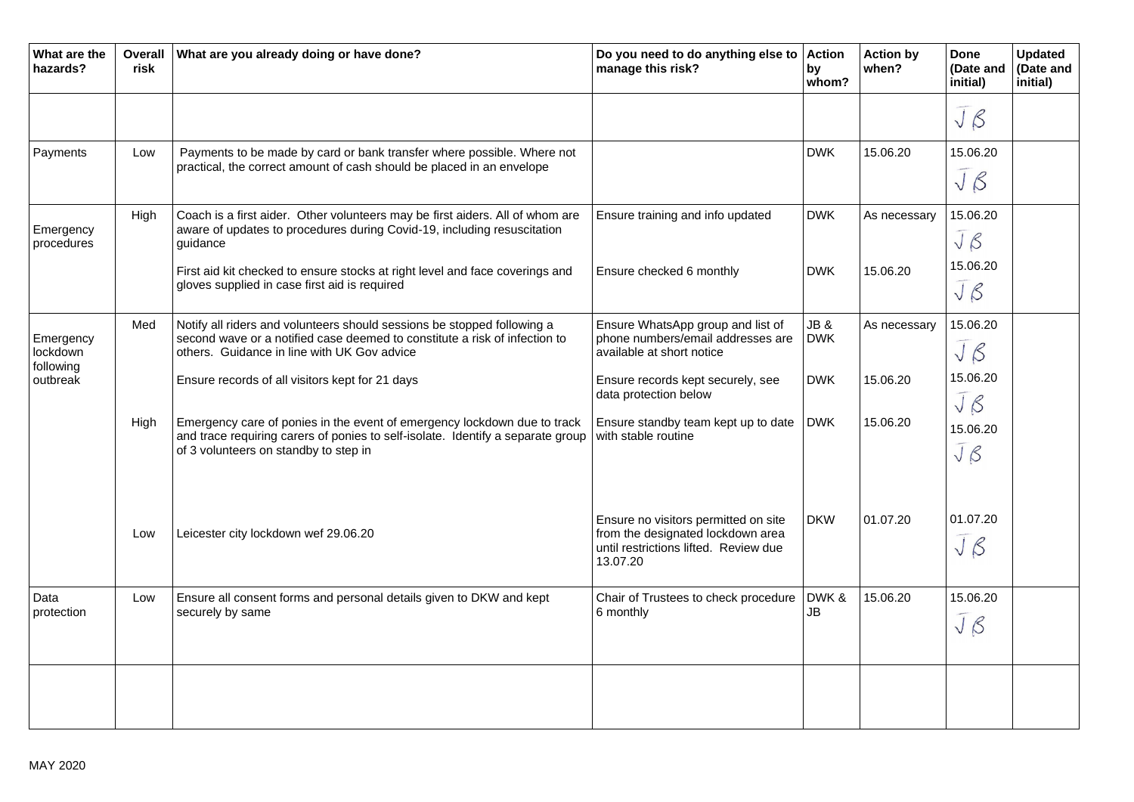| What are the<br>hazards?                       | <b>Overall</b><br>risk | What are you already doing or have done?                                                                                                                                                             | Do you need to do anything else to<br>manage this risk?                                                                        | <b>Action</b><br>by<br>whom? | <b>Action by</b><br>when? | <b>Done</b><br>(Date and<br>initial) | <b>Updated</b><br>(Date and<br>initial) |
|------------------------------------------------|------------------------|------------------------------------------------------------------------------------------------------------------------------------------------------------------------------------------------------|--------------------------------------------------------------------------------------------------------------------------------|------------------------------|---------------------------|--------------------------------------|-----------------------------------------|
|                                                |                        |                                                                                                                                                                                                      |                                                                                                                                |                              |                           | $J\beta$                             |                                         |
| Payments                                       | Low                    | Payments to be made by card or bank transfer where possible. Where not<br>practical, the correct amount of cash should be placed in an envelope                                                      |                                                                                                                                | <b>DWK</b>                   | 15.06.20                  | 15.06.20<br>JB                       |                                         |
| Emergency<br>procedures                        | High                   | Coach is a first aider. Other volunteers may be first aiders. All of whom are<br>aware of updates to procedures during Covid-19, including resuscitation<br>guidance                                 | Ensure training and info updated                                                                                               | <b>DWK</b>                   | As necessary              | 15.06.20<br>JB                       |                                         |
|                                                |                        | First aid kit checked to ensure stocks at right level and face coverings and<br>gloves supplied in case first aid is required                                                                        | Ensure checked 6 monthly                                                                                                       | <b>DWK</b>                   | 15.06.20                  | 15.06.20<br>$J_{\beta}$              |                                         |
| Emergency<br>lockdown<br>following<br>outbreak | Med                    | Notify all riders and volunteers should sessions be stopped following a<br>second wave or a notified case deemed to constitute a risk of infection to<br>others. Guidance in line with UK Gov advice | Ensure WhatsApp group and list of<br>phone numbers/email addresses are<br>available at short notice                            | JB&<br><b>DWK</b>            | As necessary              | 15.06.20<br>JB                       |                                         |
|                                                |                        | Ensure records of all visitors kept for 21 days                                                                                                                                                      | Ensure records kept securely, see<br>data protection below                                                                     | <b>DWK</b>                   | 15.06.20                  | 15.06.20<br>$J\beta$                 |                                         |
|                                                | High                   | Emergency care of ponies in the event of emergency lockdown due to track<br>and trace requiring carers of ponies to self-isolate. Identify a separate group<br>of 3 volunteers on standby to step in | Ensure standby team kept up to date<br>with stable routine                                                                     | <b>DWK</b>                   | 15.06.20                  | 15.06.20<br>$J_{\beta}$              |                                         |
|                                                | Low                    | Leicester city lockdown wef 29.06.20                                                                                                                                                                 | Ensure no visitors permitted on site<br>from the designated lockdown area<br>until restrictions lifted. Review due<br>13.07.20 | <b>DKW</b>                   | 01.07.20                  | 01.07.20<br>JB                       |                                         |
| Data<br>protection                             | Low                    | Ensure all consent forms and personal details given to DKW and kept<br>securely by same                                                                                                              | Chair of Trustees to check procedure<br>6 monthly                                                                              | DWK&<br>JB                   | 15.06.20                  | 15.06.20<br>JB                       |                                         |
|                                                |                        |                                                                                                                                                                                                      |                                                                                                                                |                              |                           |                                      |                                         |